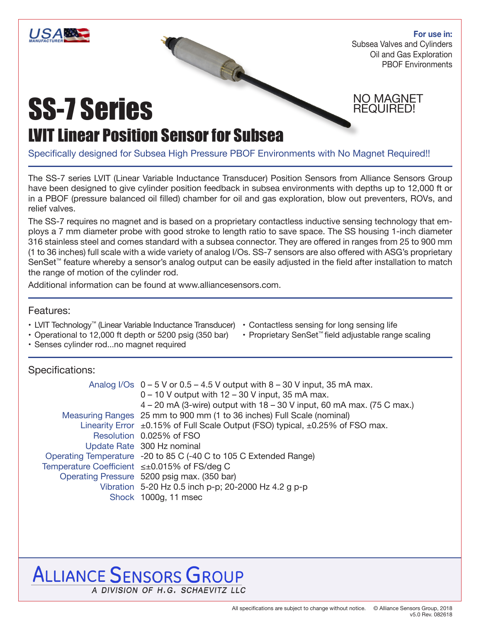

**For use in:** Subsea Valves and Cylinders Oil and Gas Exploration PBOF Environments

NO MAGNET REQUIRED!

# SS-7 Series

## LVIT Linear Position Sensor for Subsea

Specifically designed for Subsea High Pressure PBOF Environments with No Magnet Required!!

The SS-7 series LVIT (Linear Variable Inductance Transducer) Position Sensors from Alliance Sensors Group have been designed to give cylinder position feedback in subsea environments with depths up to 12,000 ft or in a PBOF (pressure balanced oil filled) chamber for oil and gas exploration, blow out preventers, ROVs, and relief valves.

The SS-7 requires no magnet and is based on a proprietary contactless inductive sensing technology that employs a 7 mm diameter probe with good stroke to length ratio to save space. The SS housing 1-inch diameter 316 stainless steel and comes standard with a subsea connector. They are offered in ranges from 25 to 900 mm (1 to 36 inches) full scale with a wide variety of analog I/Os. SS-7 sensors are also offered with ASG's proprietary SenSet™ feature whereby a sensor's analog output can be easily adjusted in the field after installation to match the range of motion of the cylinder rod.

Additional information can be found at www.alliancesensors.com.

#### Features:

- LVIT Technology™ (Linear Variable Inductance Transducer) Contactless sensing for long sensing life
	-
- Operational to 12,000 ft depth or 5200 psig (350 bar) • Proprietary SenSet™ field adjustable range scaling
- Senses cylinder rod...no magnet required

#### Specifications:

|                                              | Analog I/Os $0 - 5$ V or $0.5 - 4.5$ V output with $8 - 30$ V input, 35 mA max.         |  |  |  |  |
|----------------------------------------------|-----------------------------------------------------------------------------------------|--|--|--|--|
|                                              | $0 - 10$ V output with $12 - 30$ V input, 35 mA max.                                    |  |  |  |  |
|                                              | $4 - 20$ mA (3-wire) output with $18 - 30$ V input, 60 mA max. (75 C max.)              |  |  |  |  |
|                                              | Measuring Ranges 25 mm to 900 mm (1 to 36 inches) Full Scale (nominal)                  |  |  |  |  |
|                                              | Linearity Error $\pm$ 0.15% of Full Scale Output (FSO) typical, $\pm$ 0.25% of FSO max. |  |  |  |  |
|                                              | Resolution 0.025% of FSO                                                                |  |  |  |  |
|                                              | Update Rate 300 Hz nominal                                                              |  |  |  |  |
|                                              | Operating Temperature -20 to 85 C (-40 C to 105 C Extended Range)                       |  |  |  |  |
| Temperature Coefficient ≤±0.015% of FS/deg C |                                                                                         |  |  |  |  |
|                                              | Operating Pressure 5200 psig max. (350 bar)                                             |  |  |  |  |
|                                              | Vibration 5-20 Hz 0.5 inch p-p; 20-2000 Hz 4.2 g p-p                                    |  |  |  |  |
|                                              | Shock 1000g, 11 msec                                                                    |  |  |  |  |

## **ALLIANCE SENSORS GROUP** A DIVISION OF H.G. SCHAEVITZ LLC